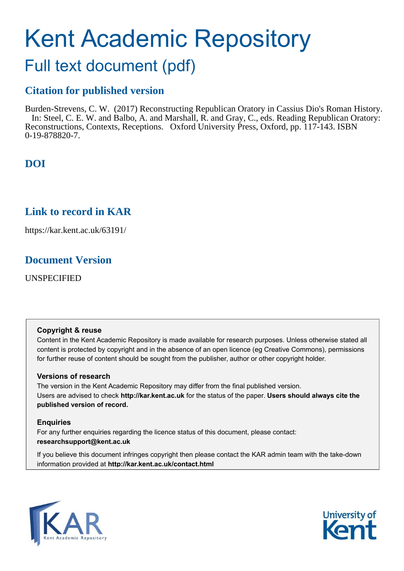# Kent Academic Repository

## Full text document (pdf)

## **Citation for published version**

Burden-Strevens, C. W. (2017) Reconstructing Republican Oratory in Cassius Dio's Roman History. In: Steel, C. E. W. and Balbo, A. and Marshall, R. and Gray, C., eds. Reading Republican Oratory: Reconstructions, Contexts, Receptions. Oxford University Press, Oxford, pp. 117-143. ISBN 0-19-878820-7.

## **DOI**

## **Link to record in KAR**

https://kar.kent.ac.uk/63191/

## **Document Version**

UNSPECIFIED

#### **Copyright & reuse**

Content in the Kent Academic Repository is made available for research purposes. Unless otherwise stated all content is protected by copyright and in the absence of an open licence (eg Creative Commons), permissions for further reuse of content should be sought from the publisher, author or other copyright holder.

#### **Versions of research**

The version in the Kent Academic Repository may differ from the final published version. Users are advised to check **http://kar.kent.ac.uk** for the status of the paper. **Users should always cite the published version of record.**

#### **Enquiries**

For any further enquiries regarding the licence status of this document, please contact: **researchsupport@kent.ac.uk**

If you believe this document infringes copyright then please contact the KAR admin team with the take-down information provided at **http://kar.kent.ac.uk/contact.html**



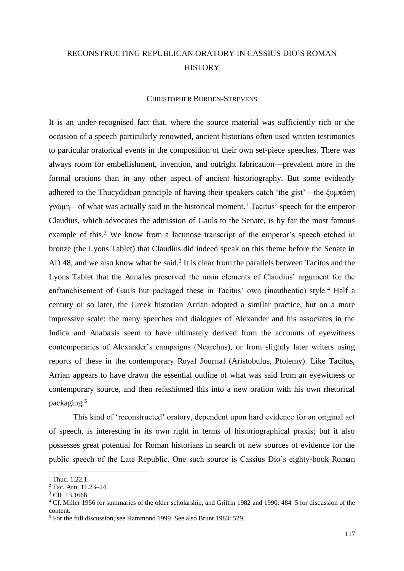### RECONSTRUCTING REPUBLICAN ORATORY IN CASSIUS DIO'S ROMAN **HISTORY**

#### **CHRISTOPHER BURDEN-STREVENS**

It is an under-recognised fact that, where the source material was sufficiently rich or the occasion of a speech particularly renowned, ancient historians often used written testimonies to particular oratorical events in the composition of their own set-piece speeches. There was always room for embellishment, invention, and outright fabrication—prevalent more in the formal orations than in any other aspect of ancient historiography. But some evidently adhered to the Thucydidean principle of having their speakers catch 'the gist'—the ξυμπάση γνώμη—of what was actually said in the historical moment.<sup>1</sup> Tacitus' speech for the emperor Claudius, which advocates the admission of Gauls to the Senate, is by far the most famous example of this.<sup>2</sup> We know from a lacunose transcript of the emperor's speech etched in bronze (the Lyons Tablet) that Claudius did indeed speak on this theme before the Senate in AD 48, and we also know what he said.<sup>3</sup> It is clear from the parallels between Tacitus and the Lyons Tablet that the Annales preserved the main elements of Claudius' argument for the enfranchisement of Gauls but packaged these in Tacitus' own (inauthentic) style.<sup>4</sup> Half a century or so later, the Greek historian Arrian adopted a similar practice, but on a more impressive scale: the many speeches and dialogues of Alexander and his associates in the Indica and Anabasis seem to have ultimately derived from the accounts of evewitness contemporaries of Alexander's campaigns (Nearchus), or from slightly later writers using reports of these in the contemporary Royal Journal (Aristobulus, Ptolemy). Like Tacitus, Arrian appears to have drawn the essential outline of what was said from an evewitness or contemporary source, and then refashioned this into a new oration with his own rhetorical packaging.<sup>5</sup>

This kind of 'reconstructed' oratory, dependent upon hard evidence for an original act of speech, is interesting in its own right in terms of historiographical praxis; but it also possesses great potential for Roman historians in search of new sources of evidence for the public speech of the Late Republic. One such source is Cassius Dio's eighty-book Roman

<sup>&</sup>lt;sup>1</sup> Thuc.  $1.22.1$ .

<sup>&</sup>lt;sup>2</sup> Tac. Ann. 11.23-24

<sup>&</sup>lt;sup>3</sup> CIL 13.1668.

<sup>&</sup>lt;sup>4</sup> Cf. Miller 1956 for summaries of the older scholarship, and Griffin 1982 and 1990: 484–5 for discussion of the content.

<sup>&</sup>lt;sup>5</sup> For the full discussion, see Hammond 1999. See also Brunt 1983: 529.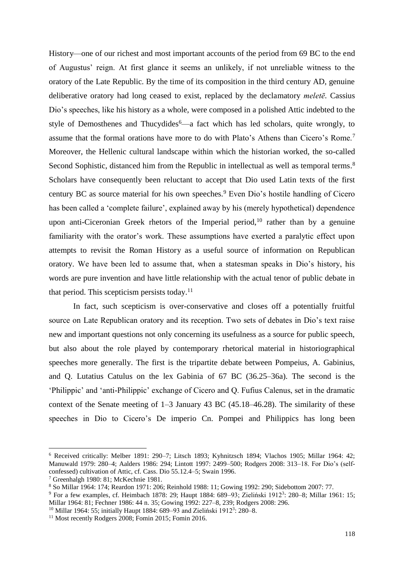History—one of our richest and most important accounts of the period from 69 BC to the end of Augustus' reign. At first glance it seems an unlikely, if not unreliable witness to the oratory of the Late Republic. By the time of its composition in the third century AD, genuine deliberative oratory had long ceased to exist, replaced by the declamatory melete. Cassius Dio's speeches, like his history as a whole, were composed in a polished Attic indebted to the style of Demosthenes and Thucydides<sup>6</sup>—a fact which has led scholars, quite wrongly, to assume that the formal orations have more to do with Plato's Athens than Cicero's Rome.<sup>7</sup> Moreover, the Hellenic cultural landscape within which the historian worked, the so-called Second Sophistic, distanced him from the Republic in intellectual as well as temporal terms.<sup>8</sup> Scholars have consequently been reluctant to accept that Dio used Latin texts of the first century BC as source material for his own speeches.<sup>9</sup> Even Dio's hostile handling of Cicero has been called a 'complete failure', explained away by his (merely hypothetical) dependence upon anti-Ciceronian Greek rhetors of the Imperial period,<sup>10</sup> rather than by a genuine familiarity with the orator's work. These assumptions have exerted a paralytic effect upon attempts to revisit the Roman History as a useful source of information on Republican oratory. We have been led to assume that, when a statesman speaks in Dio's history, his words are pure invention and have little relationship with the actual tenor of public debate in that period. This scepticism persists today.<sup>11</sup>

In fact, such scepticism is over-conservative and closes off a potentially fruitful source on Late Republican oratory and its reception. Two sets of debates in Dio's text raise new and important questions not only concerning its usefulness as a source for public speech, but also about the role played by contemporary rhetorical material in historiographical speeches more generally. The first is the tripartite debate between Pompeius, A. Gabinius, and Q. Lutatius Catulus on the lex Gabinia of 67 BC (36.25–36a). The second is the 'Philippic' and 'anti-Philippic' exchange of Cicero and Q. Fufius Calenus, set in the dramatic context of the Senate meeting of  $1-3$  January 43 BC (45.18-46.28). The similarity of these speeches in Dio to Cicero's De imperio Cn. Pompei and Philippics has long been

<sup>&</sup>lt;sup>6</sup> Received critically: Melber 1891: 290-7; Litsch 1893; Kyhnitzsch 1894; Vlachos 1905; Millar 1964: 42; Manuwald 1979: 280-4; Aalders 1986: 294; Lintott 1997: 2499-500; Rodgers 2008: 313-18. For Dio's (selfconfessed) cultivation of Attic, cf. Cass. Dio 55.12.4–5; Swain 1996.

<sup>&</sup>lt;sup>7</sup> Greenhalgh 1980: 81; McKechnie 1981.

<sup>8</sup> So Millar 1964: 174; Reardon 1971: 206; Reinhold 1988: 11; Gowing 1992: 290; Sidebottom 2007: 77.

<sup>&</sup>lt;sup>9</sup> For a few examples, cf. Heimbach 1878: 29: Haupt 1884: 689–93: Zieliński 1912<sup>3</sup>: 280–8: Millar 1961: 15: Millar 1964: 81; Fechner 1986: 44 n. 35; Gowing 1992: 227-8, 239; Rodgers 2008: 296.

<sup>&</sup>lt;sup>10</sup> Millar 1964: 55; initially Haupt 1884: 689-93 and Zieliński 1912<sup>3</sup>: 280-8.

<sup>&</sup>lt;sup>11</sup> Most recently Rodgers 2008; Fomin 2015; Fomin 2016.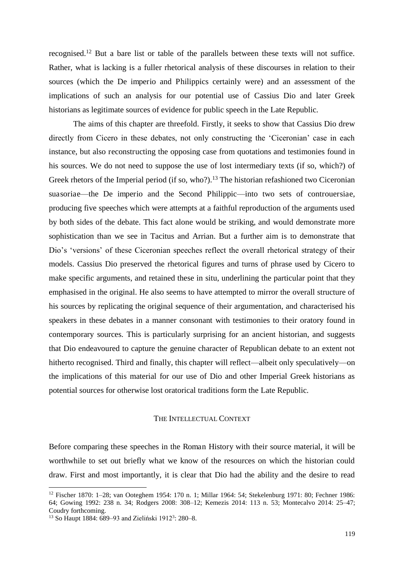recognised.<sup>12</sup> But a bare list or table of the parallels between these texts will not suffice. Rather, what is lacking is a fuller rhetorical analysis of these discourses in relation to their sources (which the De imperio and Philippics certainly were) and an assessment of the implications of such an analysis for our potential use of Cassius Dio and later Greek historians as legitimate sources of evidence for public speech in the Late Republic.

 The aims of this chapter are threefold. Firstly, it seeks to show that Cassius Dio drew directly from Cicero in these debates, not only constructing the 'Ciceronian' case in each instance, but also reconstructing the opposing case from quotations and testimonies found in his sources. We do not need to suppose the use of lost intermediary texts (if so, which?) of Greek rhetors of the Imperial period (if so, who?).<sup>13</sup> The historian refashioned two Ciceronian suasoriae—the De imperio and the Second Philippic—into two sets of controuersiae, producing five speeches which were attempts at a faithful reproduction of the arguments used by both sides of the debate. This fact alone would be striking, and would demonstrate more sophistication than we see in Tacitus and Arrian. But a further aim is to demonstrate that Dio's 'versions' of these Ciceronian speeches reflect the overall rhetorical strategy of their models. Cassius Dio preserved the rhetorical figures and turns of phrase used by Cicero to make specific arguments, and retained these in situ, underlining the particular point that they emphasised in the original. He also seems to have attempted to mirror the overall structure of his sources by replicating the original sequence of their argumentation, and characterised his speakers in these debates in a manner consonant with testimonies to their oratory found in contemporary sources. This is particularly surprising for an ancient historian, and suggests that Dio endeavoured to capture the genuine character of Republican debate to an extent not hitherto recognised. Third and finally, this chapter will reflect—albeit only speculatively—on the implications of this material for our use of Dio and other Imperial Greek historians as potential sources for otherwise lost oratorical traditions form the Late Republic.

#### THE INTELLECTUAL CONTEXT

Before comparing these speeches in the Roman History with their source material, it will be worthwhile to set out briefly what we know of the resources on which the historian could draw. First and most importantly, it is clear that Dio had the ability and the desire to read

 $\overline{a}$ 

<sup>12</sup> Fischer 1870: 1–28; van Ooteghem 1954: 170 n. 1; Millar 1964: 54; Stekelenburg 1971: 80; Fechner 1986: 64; Gowing 1992: 238 n. 34; Rodgers 2008: 308–12; Kemezis 2014: 113 n. 53; Montecalvo 2014: 25–47; Coudry forthcoming.

 $13$  So Haupt 1884: 689–93 and Zieliński 1912<sup>3</sup>: 280–8.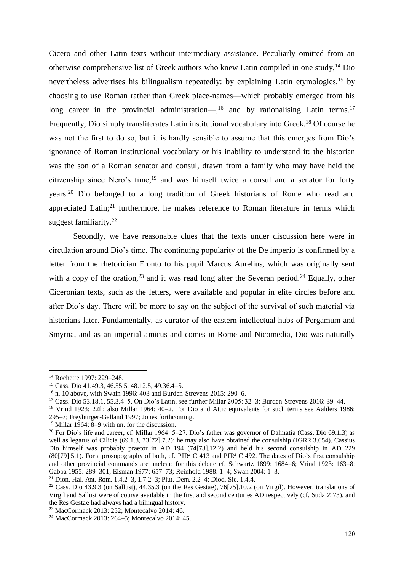Cicero and other Latin texts without intermediary assistance. Peculiarly omitted from an otherwise comprehensive list of Greek authors who knew Latin compiled in one study,<sup>14</sup> Dio nevertheless advertises his bilingualism repeatedly: by explaining Latin etymologies,<sup>15</sup> by choosing to use Roman rather than Greek place-names—which probably emerged from his long career in the provincial administration— $^{16}$  and by rationalising Latin terms.<sup>17</sup> Frequently, Dio simply transliterates Latin institutional vocabulary into Greek.<sup>18</sup> Of course he was not the first to do so, but it is hardly sensible to assume that this emerges from Dio's ignorance of Roman institutional vocabulary or his inability to understand it: the historian was the son of a Roman senator and consul, drawn from a family who may have held the citizenship since Nero's time,<sup>19</sup> and was himself twice a consul and a senator for forty years.<sup>20</sup> Dio belonged to a long tradition of Greek historians of Rome who read and appreciated Latin;<sup>21</sup> furthermore, he makes reference to Roman literature in terms which suggest familiarity. $22$ 

Secondly, we have reasonable clues that the texts under discussion here were in circulation around Dio's time. The continuing popularity of the De imperio is confirmed by a letter from the rhetorician Fronto to his pupil Marcus Aurelius, which was originally sent with a copy of the oration,  $2<sup>3</sup>$  and it was read long after the Severan period.  $2<sup>4</sup>$  Equally, other Ciceronian texts, such as the letters, were available and popular in elite circles before and after Dio's day. There will be more to say on the subject of the survival of such material via historians later. Fundamentally, as curator of the eastern intellectual hubs of Pergamum and Smyrna, and as an imperial amicus and comes in Rome and Nicomedia, Dio was naturally

<sup>&</sup>lt;sup>14</sup> Rochette 1997: 229-248.

<sup>&</sup>lt;sup>15</sup> Cass. Dio 41.49.3, 46.55.5, 48.12.5, 49.36.4–5.

<sup>&</sup>lt;sup>16</sup> n. 10 above, with Swain 1996: 403 and Burden-Strevens 2015: 290–6.

<sup>&</sup>lt;sup>17</sup> Cass. Dio 53.18.1, 55.3.4–5. On Dio's Latin, see further Millar 2005: 32–3; Burden-Strevens 2016: 39–44.

<sup>&</sup>lt;sup>18</sup> Vrind 1923: 22f.; also Millar 1964: 40-2. For Dio and Attic equivalents for such terms see Aalders 1986: 295–7: Freyburger-Galland 1997: Jones forthcoming.

 $19$  Millar 1964: 8–9 with nn. for the discussion.

<sup>&</sup>lt;sup>20</sup> For Dio's life and career, cf. Millar 1964:  $5-27$ . Dio's father was governor of Dalmatia (Cass. Dio 69.1.3) as well as legatus of Cilicia (69.1.3, 73[72].7.2); he may also have obtained the consulship (IGRR 3.654). Cassius Dio himself was probably praetor in AD 194 (74[73].12.2) and held his second consulship in AD 229 (80[79].5.1). For a prosopography of both, cf. PIR<sup>2</sup> C 413 and PIR<sup>2</sup> C 492. The dates of Dio's first consulship and other provincial commands are unclear: for this debate cf. Schwartz 1899: 1684–6; Vrind 1923: 163–8; Gabba 1955: 289–301; Eisman 1977: 657–73; Reinhold 1988: 1–4; Swan 2004: 1–3.

<sup>&</sup>lt;sup>21</sup> Dion. Hal. Ant. Rom. 1.4.2–3, 1.7.2–3; Plut. Dem. 2.2–4; Diod. Sic. 1.4.4.

<sup>&</sup>lt;sup>22</sup> Cass. Dio 43.9.3 (on Sallust), 44.35.3 (on the Res Gestae), 76[75], 10.2 (on Virgil). However, translations of Virgil and Sallust were of course available in the first and second centuries AD respectively (cf. Suda Z 73), and the Res Gestae had always had a bilingual history.

<sup>&</sup>lt;sup>23</sup> MacCormack 2013: 252: Montecalvo 2014: 46.

<sup>&</sup>lt;sup>24</sup> MacCormack 2013: 264–5; Montecalvo 2014: 45.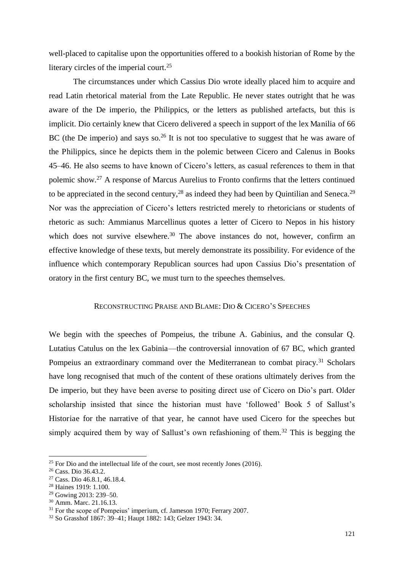well-placed to capitalise upon the opportunities offered to a bookish historian of Rome by the literary circles of the imperial court.<sup>25</sup>

The circumstances under which Cassius Dio wrote ideally placed him to acquire and read Latin rhetorical material from the Late Republic. He never states outright that he was aware of the De imperio, the Philippics, or the letters as published artefacts, but this is implicit. Dio certainly knew that Cicero delivered a speech in support of the lex Manilia of 66 BC (the De imperio) and says so.<sup>26</sup> It is not too speculative to suggest that he was aware of the Philippics, since he depicts them in the polemic between Cicero and Calenus in Books 45–46. He also seems to have known of Cicero's letters, as casual references to them in that polemic show.<sup>27</sup> A response of Marcus Aurelius to Fronto confirms that the letters continued to be appreciated in the second century,  $28$  as indeed they had been by Quintilian and Seneca.  $29$ Nor was the appreciation of Cicero's letters restricted merely to rhetoricians or students of rhetoric as such: Ammianus Marcellinus quotes a letter of Cicero to Nepos in his history which does not survive elsewhere.<sup>30</sup> The above instances do not, however, confirm an effective knowledge of these texts, but merely demonstrate its possibility. For evidence of the influence which contemporary Republican sources had upon Cassius Dio's presentation of oratory in the first century BC, we must turn to the speeches themselves.

#### RECONSTRUCTING PRAISE AND BLAME: DIO & CICERO'S SPEECHES

We begin with the speeches of Pompeius, the tribune A. Gabinius, and the consular O. Lutatius Catulus on the lex Gabinia—the controversial innovation of 67 BC, which granted Pompeius an extraordinary command over the Mediterranean to combat piracy.<sup>31</sup> Scholars have long recognised that much of the content of these orations ultimately derives from the De imperio, but they have been averse to positing direct use of Cicero on Dio's part. Older scholarship insisted that since the historian must have 'followed' Book 5 of Sallust's Historiae for the narrative of that year, he cannot have used Cicero for the speeches but simply acquired them by way of Sallust's own refashioning of them.<sup>32</sup> This is begging the

 $25$  For Dio and the intellectual life of the court, see most recently Jones (2016).

<sup>&</sup>lt;sup>26</sup> Cass. Dio 36.43.2.

<sup>&</sup>lt;sup>27</sup> Cass. Dio 46.8.1, 46.18.4.

<sup>&</sup>lt;sup>28</sup> Haines 1919: 1.100.

 $29$  Gowing 2013: 239–50.

<sup>&</sup>lt;sup>30</sup> Amm. Marc. 21.16.13.

<sup>&</sup>lt;sup>31</sup> For the scope of Pompeius' imperium, cf. Jameson 1970; Ferrary 2007.

<sup>&</sup>lt;sup>32</sup> So Grasshof 1867: 39–41; Haupt 1882: 143; Gelzer 1943: 34.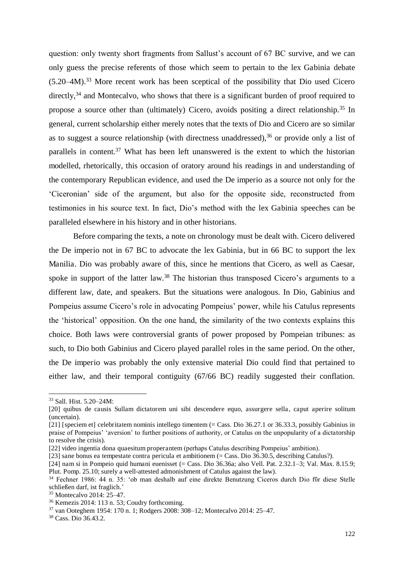question: only twenty short fragments from Sallust's account of 67 BC survive, and we can only guess the precise referents of those which seem to pertain to the lex Gabinia debate  $(5.20-4M).$ <sup>33</sup> More recent work has been sceptical of the possibility that Dio used Cicero directly,  $34$  and Montecalvo, who shows that there is a significant burden of proof required to propose a source other than (ultimately) Cicero, avoids positing a direct relationship.<sup>35</sup> In general, current scholarship either merely notes that the texts of Dio and Cicero are so similar as to suggest a source relationship (with directness unaddressed).<sup>36</sup> or provide only a list of parallels in content.<sup>37</sup> What has been left unanswered is the extent to which the historian modelled, rhetorically, this occasion of oratory around his readings in and understanding of the contemporary Republican evidence, and used the De imperio as a source not only for the 'Ciceronian' side of the argument, but also for the opposite side, reconstructed from testimonies in his source text. In fact, Dio's method with the lex Gabinia speeches can be paralleled elsewhere in his history and in other historians.

Before comparing the texts, a note on chronology must be dealt with. Cicero delivered the De imperio not in 67 BC to advocate the lex Gabinia, but in 66 BC to support the lex Manilia. Dio was probably aware of this, since he mentions that Cicero, as well as Caesar, spoke in support of the latter law.<sup>38</sup> The historian thus transposed Cicero's arguments to a different law, date, and speakers. But the situations were analogous. In Dio, Gabinius and Pompeius assume Cicero's role in advocating Pompeius' power, while his Catulus represents the 'historical' opposition. On the one hand, the similarity of the two contexts explains this choice. Both laws were controversial grants of power proposed by Pompeian tribunes: as such, to Dio both Gabinius and Cicero played parallel roles in the same period. On the other, the De imperio was probably the only extensive material Dio could find that pertained to either law, and their temporal contiguity (67/66 BC) readily suggested their conflation.

<sup>&</sup>lt;sup>33</sup> Sall. Hist. 5.20-24M:

<sup>[20]</sup> quibus de causis Sullam dictatorem uni sibi descendere equo, assurgere sella, caput aperire solitum (uncertain).

<sup>[21] [</sup>speciem et] celebritatem nominis intellego timentem  $(=$  Cass. Dio 36.27.1 or 36.33.3, possibly Gabinius in praise of Pompeius' 'aversion' to further positions of authority, or Catulus on the unpopularity of a dictatorship to resolve the crisis).

<sup>[22]</sup> video ingentia dona quaesitum properantem (perhaps Catulus describing Pompeius' ambition).

<sup>[23]</sup> sane bonus ea tempestate contra pericula et ambitionem (= Cass. Dio  $36.30.5$ , describing Catulus?).

<sup>[24]</sup> nam si in Pompeio quid humani euenisset (= Cass. Dio 36.36a; also Vell. Pat. 2.32.1–3; Val. Max. 8.15.9; Plut. Pomp. 25.10; surely a well-attested admonishment of Catulus against the law).

<sup>&</sup>lt;sup>34</sup> Fechner 1986: 44 n. 35: 'ob man deshalb auf eine direkte Benutzung Ciceros durch Dio für diese Stelle schließen darf, ist fraglich.'

 $35$  Montecalvo 2014: 25–47.

<sup>&</sup>lt;sup>36</sup> Kemezis 2014: 113 n. 53; Coudry forthcoming.

<sup>&</sup>lt;sup>37</sup> van Ooteghem 1954: 170 n. 1; Rodgers 2008: 308-12; Montecalvo 2014: 25-47.

 $38$  Cass, Dio  $36.43.2$ .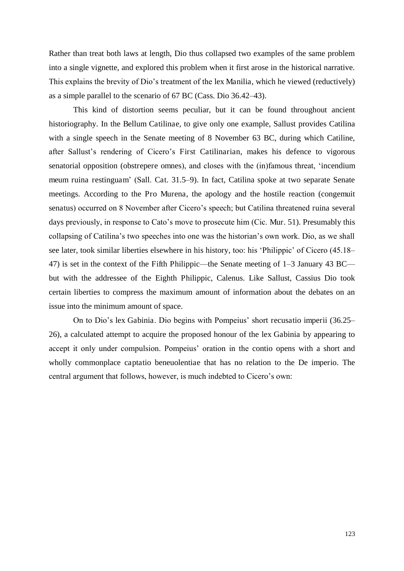Rather than treat both laws at length, Dio thus collapsed two examples of the same problem into a single vignette, and explored this problem when it first arose in the historical narrative. This explains the brevity of Dio's treatment of the lex Manilia, which he viewed (reductively) as a simple parallel to the scenario of 67 BC (Cass. Dio 36.42–43).

This kind of distortion seems peculiar, but it can be found throughout ancient historiography. In the Bellum Catilinae, to give only one example, Sallust provides Catilina with a single speech in the Senate meeting of 8 November 63 BC, during which Catiline, after Sallust's rendering of Cicero's First Catilinarian, makes his defence to vigorous senatorial opposition (obstrepere omnes), and closes with the (in)famous threat, 'incendium meum ruina restinguam' (Sall. Cat. 31.5–9). In fact, Catilina spoke at two separate Senate meetings. According to the Pro Murena, the apology and the hostile reaction (congemuit senatus) occurred on 8 November after Cicero's speech; but Catilina threatened ruina several days previously, in response to Cato's move to prosecute him (Cic. Mur. 51). Presumably this collapsing of Catilina's two speeches into one was the historian's own work. Dio, as we shall see later, took similar liberties elsewhere in his history, too: his 'Philippic' of Cicero (45.18– 47) is set in the context of the Fifth Philippic—the Senate meeting of 1–3 January 43 BC but with the addressee of the Eighth Philippic, Calenus. Like Sallust, Cassius Dio took certain liberties to compress the maximum amount of information about the debates on an issue into the minimum amount of space.

On to Dio's lex Gabinia. Dio begins with Pompeius' short recusatio imperii (36.25– 26), a calculated attempt to acquire the proposed honour of the lex Gabinia by appearing to accept it only under compulsion. Pompeius' oration in the contio opens with a short and wholly commonplace captatio beneuvlentiae that has no relation to the De imperio. The central argument that follows, however, is much indebted to Cicero's own: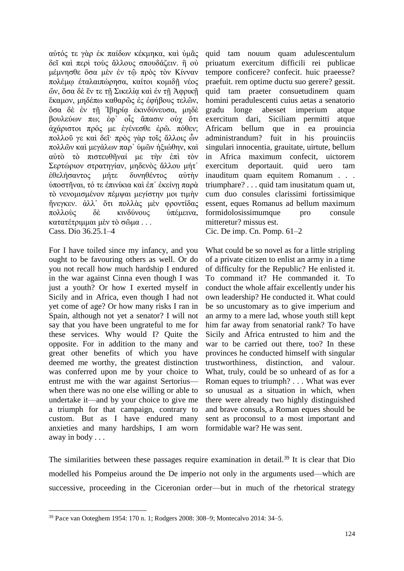αύτός τε γάρ έκ παίδων κέκμηκα, και ύμας δεί καί περί τούς άλλους σπουδάζειν. ή ού μέμνησθε όσα μεν εν τω προς τον Κίνναν πολέμω εταλαιπώρησα, καίτοι κομιδή νέος  $\ddot{\omega}$ ν, ὅσα δὲ ἔν τε τῆ Σικελία καὶ ἐν τῆ Ἀφρικῆ έκαμον, μηδέπω καθαρῶς ές εφήβους τελῶν, όσα δε έν τη Ίβηρία έκινδύνευσα, μηδέ βουλεύων πω; ἐφ' οἶς ἅπασιν οὐγ ὅτι αχάριστοι πρός με εγένεσθε έρῶ. πόθεν; πολλοῦ γε καὶ δεῖ πρὸς γὰρ τοῖς ἄλλοις ὧν πολλών και μεγάλων παρ' ύμων ήξιώθην, και αύτό το πιστευθήναί με την έπι τον Σερτώριον στρατηγίαν, μηδενός ἄλλου μήτ' έθελήσαντος μήτε δυνηθέντος αύτην  $\dot{v}$ ποστῆναι, τό τε ἐπινίκια καὶ ἐπ' ἐκείνη παρὰ τό νενομισμένον πέμψαι μεγίστην μοι τιμήν ήνεγκεν. άλλ' ότι πολλάς μεν φροντίδας  $\pi$ ολλούς δέ κινδύνους υπέμεινα, κατατέτριμμαι μεν το σώμα... Cass. Dio 36.25.1–4

For I have toiled since my infancy, and you ought to be favouring others as well. Or do you not recall how much hardship I endured in the war against Cinna even though I was just a youth? Or how I exerted myself in Sicily and in Africa, even though I had not yet come of age? Or how many risks I ran in Spain, although not yet a senator? I will not say that you have been ungrateful to me for these services. Why would I? Quite the opposite. For in addition to the many and great other benefits of which you have deemed me worthy, the greatest distinction was conferred upon me by your choice to entrust me with the war against Sertorius when there was no one else willing or able to undertake it—and by your choice to give me a triumph for that campaign, contrary to custom. But as I have endured many anxieties and many hardships, I am worn away in body . . .

 $\overline{a}$ 

quid tam nouum quam adulescentulum priuatum exercitum difficili rei publicae tempore conficere? confecit. huic praeesse? praefuit. rem optime ductu suo gerere? gessit. quid tam praeter consuetudinem quam homini peradulescenti cuius aetas a senatorio gradu longe abesset imperium atque exercitum dari, Siciliam permitti atque Africam bellum que in ea prouincia administrandum? fuit in his prouinciis singulari innocentia, grauitate, uirtute, bellum in Africa maximum confecit, uictorem exercitum deportauit. quid uero tam inauditum quam equitem Romanum . . . triumphare? . . . quid tam inusitatum quam ut, cum duo consules clarissimi fortissimique essent, eques Romanus ad bellum maximum formidolosissimumque pro consule mitteretur? missus est.

Cic. De imp. Cn. Pomp. 61–2

What could be so novel as for a little stripling of a private citizen to enlist an army in a time of difficulty for the Republic? He enlisted it. To command it? He commanded it. To conduct the whole affair excellently under his own leadership? He conducted it. What could be so uncustomary as to give imperium and an army to a mere lad, whose youth still kept him far away from senatorial rank? To have Sicily and Africa entrusted to him and the war to be carried out there, too? In these provinces he conducted himself with singular trustworthiness, distinction, and valour. What, truly, could be so unheard of as for a Roman eques to triumph? . . . What was ever so unusual as a situation in which, when there were already two highly distinguished and brave consuls, a Roman eques should be sent as proconsul to a most important and formidable war? He was sent.

The similarities between these passages require examination in detail.<sup>39</sup> It is clear that Dio modelled his Pompeius around the De imperio not only in the arguments used—which are successive, proceeding in the Ciceronian order—but in much of the rhetorical strategy

<sup>39</sup> Pace van Ooteghem 1954: 170 n. 1; Rodgers 2008: 308–9; Montecalvo 2014: 34–5.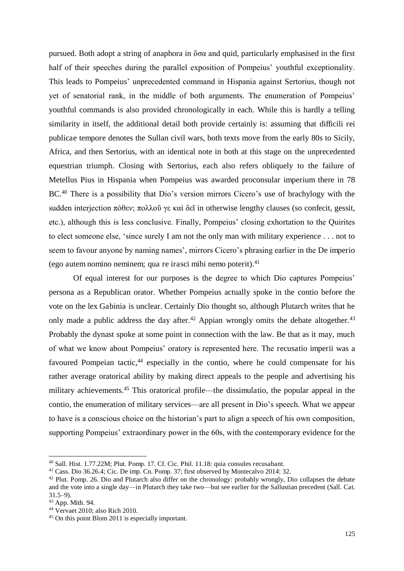pursued. Both adopt a string of anaphora in  $\ddot{\circ} \sigma \alpha$  and quid, particularly emphasised in the first half of their speeches during the parallel exposition of Pompeius' youthful exceptionality. This leads to Pompeius' unprecedented command in Hispania against Sertorius, though not yet of senatorial rank, in the middle of both arguments. The enumeration of Pompeius' youthful commands is also provided chronologically in each. While this is hardly a telling similarity in itself, the additional detail both provide certainly is: assuming that difficili rei publicae tempore denotes the Sullan civil wars, both texts move from the early 80s to Sicily, Africa, and then Sertorius, with an identical note in both at this stage on the unprecedented equestrian triumph. Closing with Sertorius, each also refers obliquely to the failure of Metellus Pius in Hispania when Pompeius was awarded proconsular imperium there in 78 BC.<sup>40</sup> There is a possibility that Dio's version mirrors Cicero's use of brachylogy with the sudden interjection  $\pi \phi \theta$  is  $\pi \phi \lambda \phi$  ve kat  $\delta \tilde{\epsilon}$  in otherwise lengthy clauses (so confect t, gessit, etc.), although this is less conclusive. Finally, Pompeius' closing exhortation to the Quirites to elect someone else, 'since surely I am not the only man with military experience . . . not to seem to favour anyone by naming names', mirrors Cicero's phrasing earlier in the De imperio (ego autem nomino neminem; qua re irasci mihi nemo poterit).<sup>41</sup>

Of equal interest for our purposes is the degree to which Dio captures Pompeius' persona as a Republican orator. Whether Pompeius actually spoke in the contio before the vote on the lex Gabinia is unclear. Certainly Dio thought so, although Plutarch writes that he only made a public address the day after.<sup>42</sup> Appian wrongly omits the debate altogether.<sup>43</sup> Probably the dynast spoke at some point in connection with the law. Be that as it may, much of what we know about Pompeius' oratory is represented here. The recusatio imperii was a favoured Pompeian tactic,<sup>44</sup> especially in the contio, where he could compensate for his rather average oratorical ability by making direct appeals to the people and advertising his military achievements.<sup>45</sup> This oratorical profile—the dissimulatio, the popular appeal in the contio, the enumeration of military services—are all present in Dio's speech. What we appear to have is a conscious choice on the historian's part to align a speech of his own composition, supporting Pompeius' extraordinary power in the 60s, with the contemporary evidence for the

<sup>&</sup>lt;sup>40</sup> Sall. Hist. 1.77.22M; Plut. Pomp. 17. Cf. Cic. Phil. 11.18: quia consules recusabant.

 $41$  Cass. Dio 36.26.4; Cic. De imp. Cn. Pomp. 37; first observed by Montecalvo 2014: 32.

<sup>&</sup>lt;sup>42</sup> Plut. Pomp. 26. Dio and Plutarch also differ on the chronology: probably wrongly, Dio collapses the debate and the vote into a single day—in Plutarch they take two—but see earlier for the Sallustian precedent (Sall. Cat.  $31.5-9$ ).

<sup>&</sup>lt;sup>43</sup> App. Mith. 94.

 $44$  Vervaet 2010; also Rich 2010.

 $45$  On this point Blom 2011 is especially important.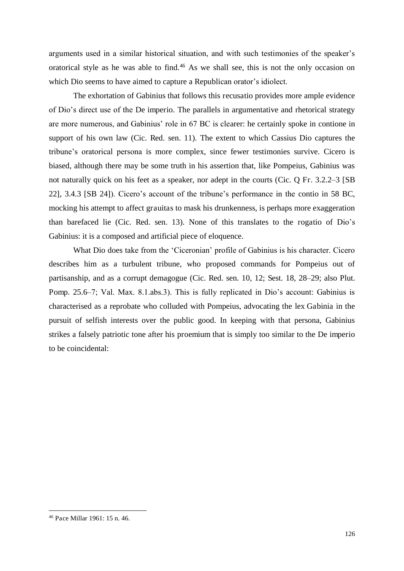arguments used in a similar historical situation, and with such testimonies of the speaker's oratorical style as he was able to find.<sup>46</sup> As we shall see, this is not the only occasion on which Dio seems to have aimed to capture a Republican orator's idiolect.

The exhortation of Gabinius that follows this recusatio provides more ample evidence of Dio's direct use of the De imperio. The parallels in argumentative and rhetorical strategy are more numerous, and Gabinius' role in 67 BC is clearer: he certainly spoke in contione in support of his own law (Cic. Red. sen. 11). The extent to which Cassius Dio captures the tribune's oratorical persona is more complex, since fewer testimonies survive. Cicero is biased, although there may be some truth in his assertion that, like Pompeius, Gabinius was not naturally quick on his feet as a speaker, nor adept in the courts (Cic. Q Fr. 3.2.2–3 [SB 22], 3.4.3 [SB 24]). Cicero's account of the tribune's performance in the contio in 58 BC, mocking his attempt to affect grauitas to mask his drunkenness, is perhaps more exaggeration than barefaced lie (Cic. Red. sen. 13). None of this translates to the rogatio of Dio's Gabinius: it is a composed and artificial piece of eloquence.

What Dio does take from the 'Ciceronian' profile of Gabinius is his character. Cicero describes him as a turbulent tribune, who proposed commands for Pompeius out of partisanship, and as a corrupt demagogue (Cic. Red. sen. 10, 12; Sest. 18, 28-29; also Plut. Pomp. 25.6–7; Val. Max. 8.1.abs.3). This is fully replicated in Dio's account: Gabinius is characterised as a reprobate who colluded with Pompeius, advocating the lex Gabinia in the pursuit of selfish interests over the public good. In keeping with that persona, Gabinius strikes a falsely patriotic tone after his proemium that is simply too similar to the De imperio to be coincidental:

 $46$  Pace Millar 1961; 15 n 46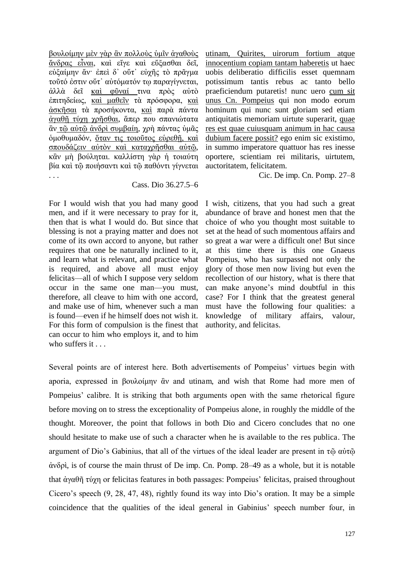βουλοίμην μεν γαρ ἂν πολλούς ύμῖν άγαθούς άνδρας είναι, καί είγε καί εύξασθαι δεί, εύξαίμην άν έπει δ' ούτ' εύγης το πράγμα τούτό έστιν ούτ' αυτόματόν τω παραγίγνεται, άλλά δεί καί φύναί τινα πρός αύτό έπιτηδείως, και μαθεΐν τα πρόσφορα, και άσκῆσαι τὰ προσήκοντα, καὶ παρὰ πάντα άγαθη τύχη χρησθαι, ἅπερ που σπανιώτατα αν τω αύτω ανδρί συμβαίη, χρή πάντας ύμας όμοθυμαδόν, όταν τις τοιούτος εύρεθη, καί σπουδάζειν αύτον και καταχρήσθαι αυτώ, κἂν μή βούληται. καλλίστη γὰρ ή τοιαύτη βία και τω ποιήσαντι και τω παθόντι γίγνεται . . .

#### Cass. Dio 36.27.5–6

For I would wish that you had many good men, and if it were necessary to pray for it, then that is what I would do. But since that blessing is not a praying matter and does not come of its own accord to anyone, but rather requires that one be naturally inclined to it, and learn what is relevant, and practice what is required, and above all must enjoy felicitas—all of which I suppose very seldom occur in the same one man—you must, therefore, all cleave to him with one accord, and make use of him, whenever such a man is found—even if he himself does not wish it. For this form of compulsion is the finest that can occur to him who employs it, and to him who suffers it . . .

utinam, Quirites, uirorum fortium atque innocentium copiam tantam haberetis ut haec uobis deliberatio difficilis esset quemnam potissimum tantis rebus ac tanto bello praeficiendum putaretis! nunc uero cum sit unus Cn. Pompeius qui non modo eorum hominum qui nunc sunt gloriam sed etiam antiquitatis memoriam uirtute superarit, quae res est quae cuiusquam animum in hac causa dubium facere possit? ego enim sic existimo, in summo imperatore quattuor has res inesse oportere, scientiam rei militaris, uirtutem, auctoritatem, felicitatem.

Cic. De imp. Cn. Pomp. 27–8

I wish, citizens, that you had such a great abundance of brave and honest men that the choice of who you thought most suitable to set at the head of such momentous affairs and so great a war were a difficult one! But since at this time there is this one Gnaeus Pompeius, who has surpassed not only the glory of those men now living but even the recollection of our history, what is there that can make anyone's mind doubtful in this case? For I think that the greatest general must have the following four qualities: a knowledge of military affairs, valour, authority, and felicitas.

Several points are of interest here. Both advertisements of Pompeius' virtues begin with aporia, expressed in βουλοίμην ἂν and utinam, and wish that Rome had more men of Pompeius' calibre. It is striking that both arguments open with the same rhetorical figure before moving on to stress the exceptionality of Pompeius alone, in roughly the middle of the thought. Moreover, the point that follows in both Dio and Cicero concludes that no one should hesitate to make use of such a character when he is available to the res publica. The argument of Dio's Gabinius, that all of the virtues of the ideal leader are present in τῷ αὐτῷ  $α\delta$ <sub>0</sub>, is of course the main thrust of De imp. Cn. Pomp. 28–49 as a whole, but it is notable that  $\dot{\alpha}$   $\gamma$  $\alpha$  $\theta$  $\tilde{\eta}$  τύ $\gamma$  or felicitas features in both passages: Pompeius' felicitas, praised throughout Cicero's speech  $(9, 28, 47, 48)$ , rightly found its way into Dio's oration. It may be a simple coincidence that the qualities of the ideal general in Gabinius' speech number four, in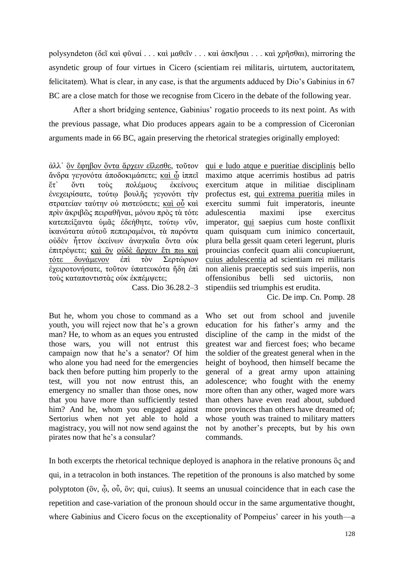polysyndeton (δεῖ καὶ φῦναί . . . καὶ μαθεῖν . . . καὶ ἀσκῆσαι . . . καὶ χρῆσθαι), mirroring the asyndetic group of four virtues in Cicero (scientiam rei militaris, uirtutem, auctoritatem, felicitatem). What is clear, in any case, is that the arguments adduced by Dio's Gabinius in 67 BC are a close match for those we recognise from Cicero in the debate of the following year.

After a short bridging sentence, Gabinius' rogatio proceeds to its next point. As with the previous passage, what Dio produces appears again to be a compression of Ciceronian arguments made in 66 BC, again preserving the rhetorical strategies originally employed:

άλλ' <u>ὃν ἔφηβον ὄντα ἄρχειν εΐλεσθε</u>, τοῦτον άνδρα γεγονότα άποδοκιμάσετε; καί ω ίππεϊ  $\ddot{\epsilon}\tau$   $\ddot{\text{o}}\text{v}\tau$   $\tau$   $\ddot{\text{o}}\text{v}\epsilon$   $\tau$   $\ddot{\text{o}}\text{v}\tau$   $\tau$   $\ddot{\text{o}}\text{v}\text{c}$   $\tau$   $\ddot{\text{o}}\text{v}\text{c}$   $\tau$   $\ddot{\text{o}}\text{v}\text{c}$   $\tau$   $\ddot{\text{o}}\text{v}\text{c}$   $\tau$   $\ddot{\text{o}}\text{v}\text{c}$   $\tau$   $\ddot{\text{o}}\text{v}\text{c}$   $\tau$   $\ddot$ ένεχειρίσατε, τούτω βουλής γεγονότι την στρατείαν ταύτην ού πιστεύσετε; καί ού καί  $\pi$ οίν άκοιβῶς πειραθῆναι, μόνου πρὸς τὰ τότε κατεπείξαντα ύμᾶς ἐδεήθητε, τούτω νῦν, iκανώτατα αύτοῦ πεπειραμένοι, τὰ παρόντα ούδεν ήττον εκείνων αναγκαΐα όντα ούκ  $\epsilon$ πιτρέψετε; καί ὃν ούδε ἄργειν ἔτι πω καί τότε δυνάμενον έπι τον Σερτώριον έχειροτονήσατε, τούτον υπατευκότα ήδη έπι τούς καταποντιστάς ούκ έκπέμψετε;

Cass. Dio 36.28.2–3

But he, whom you chose to command as a youth, you will reject now that he's a grown man? He, to whom as an eques you entrusted those wars, you will not entrust this campaign now that he's a senator? Of him who alone you had need for the emergencies back then before putting him properly to the test, will you not now entrust this, an emergency no smaller than those ones, now that you have more than sufficiently tested him? And he, whom you engaged against Sertorius when not yet able to hold a magistracy, you will not now send against the pirates now that he's a consular?

qui e ludo atque e pueritiae disciplinis bello maximo atque acerrimis hostibus ad patris exercitum atque in militiae disciplinam profectus est, qui extrema pueritia miles in exercitu summi fuit imperatoris, ineunte adulescentia maximi ipse exercitus imperator, qui saepius cum hoste conflixit quam quisquam cum inimico concertauit, plura bella gessit quam ceteri legerunt, pluris prouincias confecit quam alii concupiuerunt, cuius adulescentia ad scientiam rei militaris non alienis praeceptis sed suis imperiis, non offensionibus belli sed uictoriis, non stipendiis sed triumphis est erudita.

Cic. De imp. Cn. Pomp. 28

Who set out from school and juvenile education for his father's army and the discipline of the camp in the midst of the greatest war and fiercest foes; who became the soldier of the greatest general when in the height of boyhood, then himself became the general of a great army upon attaining adolescence; who fought with the enemy more often than any other, waged more wars than others have even read about, subdued more provinces than others have dreamed of; whose youth was trained to military matters not by another's precepts, but by his own commands.

In both excerpts the rhetorical technique deployed is anaphora in the relative pronouns  $\delta \zeta$  and qui, in a tetracolon in both instances. The repetition of the pronouns is also matched by some polyptoton ( $\delta v$ ,  $\dot{\phi}$ ,  $\delta \dot{v}$ ,  $\delta v$ ; qui, cuius). It seems an unusual coincidence that in each case the repetition and case-variation of the pronoun should occur in the same argumentative thought, where Gabinius and Cicero focus on the exceptionality of Pompeius' career in his youth—a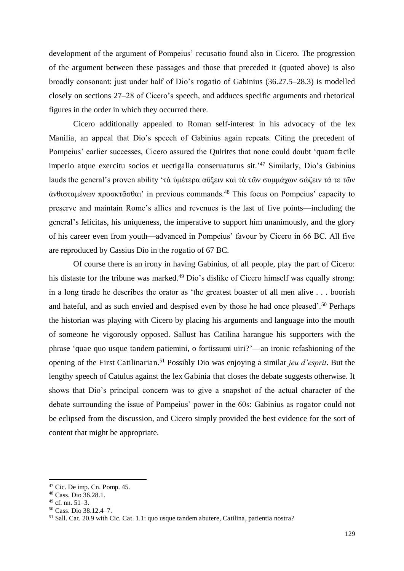development of the argument of Pompeius' recusatio found also in Cicero. The progression of the argument between these passages and those that preceded it (quoted above) is also broadly consonant: just under half of Dio's rogatio of Gabinius (36.27.5–28.3) is modelled closely on sections 27–28 of Cicero's speech, and adduces specific arguments and rhetorical figures in the order in which they occurred there.

Cicero additionally appealed to Roman self-interest in his advocacy of the lex Manilia, an appeal that Dio's speech of Gabinius again repeats. Citing the precedent of Pompeius' earlier successes, Cicero assured the Quirites that none could doubt 'quam facile imperio atque exercitu socios et uectigalia conseruaturus sit.<sup>347</sup> Similarly, Dio's Gabinius lauds the general's proven ability 'τὰ ὑμέτερα αὔξειν καὶ τὰ τῶν συμμάχων σώζειν τά τε τῶν  $\dot{\alpha}$ νθισταμένων προσκτᾶσθαι' in previous commands.<sup>48</sup> This focus on Pompeius' capacity to preserve and maintain Rome's allies and revenues is the last of five points—including the general's felicitas, his uniqueness, the imperative to support him unanimously, and the glory of his career even from youth—advanced in Pompeius' favour by Cicero in 66 BC. All five are reproduced by Cassius Dio in the rogatio of 67 BC.

Of course there is an irony in having Gabinius, of all people, play the part of Cicero: his distaste for the tribune was marked.<sup>49</sup> Dio's dislike of Cicero himself was equally strong: in a long tirade he describes the orator as 'the greatest boaster of all men alive . . . boorish and hateful, and as such envied and despised even by those he had once pleased'.<sup>50</sup> Perhaps the historian was playing with Cicero by placing his arguments and language into the mouth of someone he vigorously opposed. Sallust has Catilina harangue his supporters with the phrase 'quae quo usque tandem patiemini, o fortissumi uiri?'—an ironic refashioning of the opening of the First Catilinarian.<sup>51</sup> Possibly Dio was enjoying a similar jeu d'esprit. But the lengthy speech of Catulus against the lex Gabinia that closes the debate suggests otherwise. It shows that Dio's principal concern was to give a snapshot of the actual character of the debate surrounding the issue of Pompeius' power in the 60s: Gabinius as rogator could not be eclipsed from the discussion, and Cicero simply provided the best evidence for the sort of content that might be appropriate.

 $47$  Cic. De imp. Cn. Pomp. 45.

<sup>&</sup>lt;sup>48</sup> Cass. Dio 36.28.1.

 $49$  cf. nn. 51–3.

<sup>&</sup>lt;sup>50</sup> Cass. Dio 38.12.4-7.

<sup>&</sup>lt;sup>51</sup> Sall. Cat. 20.9 with Cic. Cat. 1.1: quo usque tandem abutere, Catilina, patientia nostra?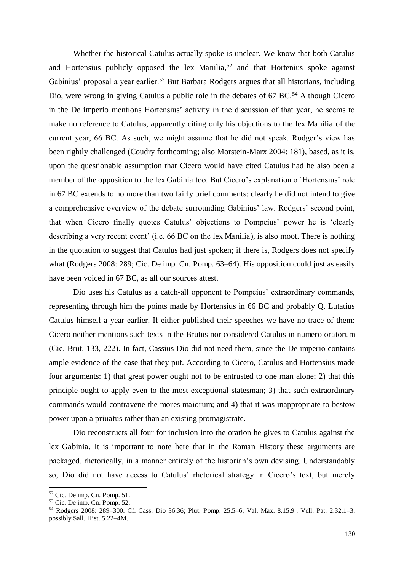Whether the historical Catulus actually spoke is unclear. We know that both Catulus and Hortensius publicly opposed the lex Manilia,<sup>52</sup> and that Hortenius spoke against Gabinius' proposal a year earlier.<sup>53</sup> But Barbara Rodgers argues that all historians, including Dio, were wrong in giving Catulus a public role in the debates of 67 BC.<sup>54</sup> Although Cicero in the De imperio mentions Hortensius' activity in the discussion of that year, he seems to make no reference to Catulus, apparently citing only his objections to the lex Manilia of the current year, 66 BC. As such, we might assume that he did not speak. Rodger's view has been rightly challenged (Coudry forthcoming; also Morstein-Marx 2004: 181), based, as it is, upon the questionable assumption that Cicero would have cited Catulus had he also been a member of the opposition to the lex Gabinia too. But Cicero's explanation of Hortensius' role in 67 BC extends to no more than two fairly brief comments: clearly he did not intend to give a comprehensive overview of the debate surrounding Gabinius' law. Rodgers' second point, that when Cicero finally quotes Catulus' objections to Pompeius' power he is 'clearly describing a very recent event' (i.e. 66 BC on the lex Manilia), is also moot. There is nothing in the quotation to suggest that Catulus had just spoken; if there is, Rodgers does not specify what (Rodgers 2008: 289; Cic. De imp. Cn. Pomp. 63-64). His opposition could just as easily have been voiced in 67 BC, as all our sources attest.

Dio uses his Catulus as a catch-all opponent to Pompeius' extraordinary commands, representing through him the points made by Hortensius in 66 BC and probably Q. Lutatius Catulus himself a year earlier. If either published their speeches we have no trace of them: Cicero neither mentions such texts in the Brutus nor considered Catulus in numero oratorum (Cic. Brut. 133, 222). In fact, Cassius Dio did not need them, since the De imperio contains ample evidence of the case that they put. According to Cicero, Catulus and Hortensius made four arguments: 1) that great power ought not to be entrusted to one man alone; 2) that this principle ought to apply even to the most exceptional statesman; 3) that such extraordinary commands would contravene the mores majorum; and 4) that it was inappropriate to bestow power upon a priuatus rather than an existing promagistrate.

Dio reconstructs all four for inclusion into the oration he gives to Catulus against the lex Gabinia. It is important to note here that in the Roman History these arguments are packaged, rhetorically, in a manner entirely of the historian's own devising. Understandably so; Dio did not have access to Catulus' rhetorical strategy in Cicero's text, but merely

 $52$  Cic. De imp. Cn. Pomp. 51.

 $53$  Cic. De imp. Cn. Pomp. 52.

<sup>&</sup>lt;sup>54</sup> Rodgers 2008: 289-300. Cf. Cass. Dio 36.36; Plut. Pomp. 25.5-6; Val. Max. 8.15.9; Vell. Pat. 2.32.1-3; possibly Sall. Hist. 5.22-4M.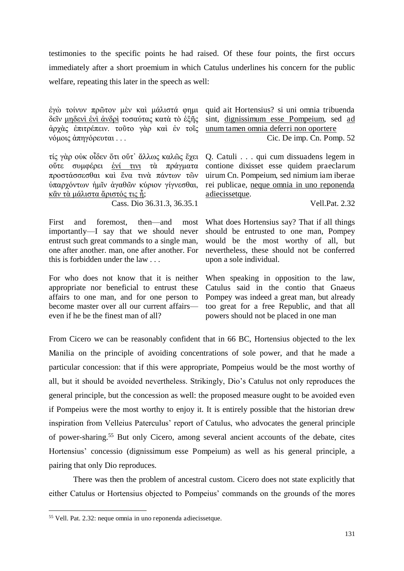testimonies to the specific points he had raised. Of these four points, the first occurs immediately after a short proemium in which Catulus underlines his concern for the public welfare, repeating this later in the speech as well:

έγώ τοίνυν πρῶτον μέν καί μάλιστά φημι δεΐν μηδενί ένι άνδρι τοσαύτας κατά το έξης άρχὰς ἐπιτρέπειν. τοῦτο γὰρ καὶ ἐν τοῖς νόμοις άπηγόρευται...

τίς γαρ ούκ οἶδεν ὅτι ούτ' ἄλλως καλῶς ἔχει ούτε συμφέρει ενί τινι τα πράγματα προστάσσεσθαι και ένα τινα πάντων των ύπαρχόντων ήμιν άγαθων κύριον γίγνεσθαι, κἂν τὰ μάλιστα ἄριστός τις ἦ;

Cass. Dio 36.31.3, 36.35.1

First and foremost, then—and most importantly—I say that we should never entrust such great commands to a single man, one after another. man, one after another. For this is forbidden under the law . . .

For who does not know that it is neither appropriate nor beneficial to entrust these affairs to one man, and for one person to become master over all our current affairs even if he be the finest man of all?

quid ait Hortensius? si uni omnia tribuenda sint, dignissimum esse Pompeium, sed ad unum tamen omnia deferri non oportere

Cic. De imp. Cn. Pomp. 52

Q. Catuli . . . qui cum dissuadens legem in contione dixisset esse quidem praeclarum uirum Cn. Pompeium, sed nimium iam iberae rei publicae, neque omnia in uno reponenda adiecissetque.

Vell.Pat. 2.32

What does Hortensius say? That if all things should be entrusted to one man, Pompey would be the most worthy of all, but nevertheless, these should not be conferred upon a sole individual.

When speaking in opposition to the law, Catulus said in the contio that Gnaeus Pompey was indeed a great man, but already too great for a free Republic, and that all powers should not be placed in one man

From Cicero we can be reasonably confident that in 66 BC, Hortensius objected to the lex Manilia on the principle of avoiding concentrations of sole power, and that he made a particular concession: that if this were appropriate, Pompeius would be the most worthy of all, but it should be avoided nevertheless. Strikingly, Dio's Catulus not only reproduces the general principle, but the concession as well: the proposed measure ought to be avoided even if Pompeius were the most worthy to enjoy it. It is entirely possible that the historian drew inspiration from Velleius Paterculus' report of Catulus, who advocates the general principle of power-sharing.<sup>55</sup> But only Cicero, among several ancient accounts of the debate, cites Hortensius' concessio (dignissimum esse Pompeium) as well as his general principle, a pairing that only Dio reproduces.

There was then the problem of ancestral custom. Cicero does not state explicitly that either Catulus or Hortensius objected to Pompeius' commands on the grounds of the mores

 $\overline{a}$ 

<sup>55</sup> Vell. Pat. 2.32: neque omnia in uno reponenda adiecissetque.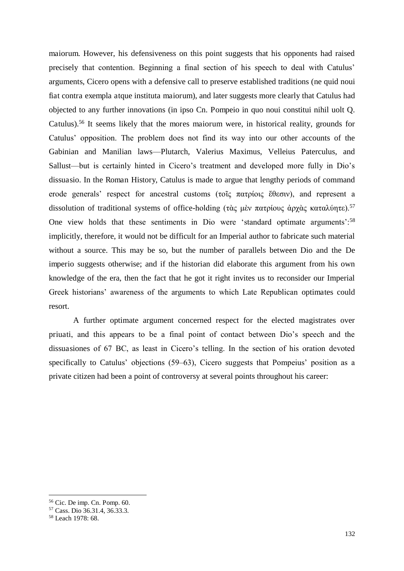maiorum. However, his defensiveness on this point suggests that his opponents had raised precisely that contention. Beginning a final section of his speech to deal with Catulus' arguments, Cicero opens with a defensive call to preserve established traditions (ne quid noui fiat contra exempla atque instituta maiorum), and later suggests more clearly that Catulus had objected to any further innovations (in ipso Cn. Pompeio in quo noui constitui nihil uolt Q. Catulus).<sup>56</sup> It seems likely that the mores maiorum were, in historical reality, grounds for Catulus' opposition. The problem does not find its way into our other accounts of the Gabinian and Manilian laws-Plutarch, Valerius Maximus, Velleius Paterculus, and Sallust—but is certainly hinted in Cicero's treatment and developed more fully in Dio's dissuasio. In the Roman History, Catulus is made to argue that lengthy periods of command erode generals' respect for ancestral customs (τοις πατρίοις έθεσιν), and represent a dissolution of traditional systems of office-holding (τὰς μὲν πατρίους ἀργὰς καταλύητε).<sup>57</sup> One view holds that these sentiments in Dio were 'standard optimate arguments':<sup>58</sup> implicitly, therefore, it would not be difficult for an Imperial author to fabricate such material without a source. This may be so, but the number of parallels between Dio and the De imperio suggests otherwise; and if the historian did elaborate this argument from his own knowledge of the era, then the fact that he got it right invites us to reconsider our Imperial Greek historians' awareness of the arguments to which Late Republican optimates could resort.

A further optimate argument concerned respect for the elected magistrates over priuati, and this appears to be a final point of contact between Dio's speech and the dissuasiones of 67 BC, as least in Cicero's telling. In the section of his oration devoted specifically to Catulus' objections (59–63), Cicero suggests that Pompeius' position as a private citizen had been a point of controversy at several points throughout his career:

 $56$  Cic. De imp. Cn. Pomp. 60.

<sup>&</sup>lt;sup>57</sup> Cass. Dio 36.31.4, 36.33.3.

 $58$  Leach  $1978.68$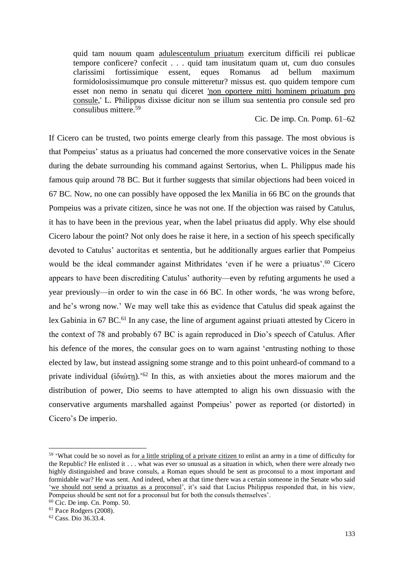quid tam nouum quam adulescentulum priuatum exercitum difficili rei publicae tempore conficere? confecit . . . quid tam inusitatum quam ut, cum duo consules fortissimique essent. eques Romanus ad hellum clarissimi maximum formidolosissimumque pro consule mitteretur? missus est. quo quidem tempore cum esset non nemo in senatu qui diceret 'non oportere mitti hominem priuatum pro consule,' L. Philippus dixisse dicitur non se illum sua sententia pro consule sed pro consulibus mittere.<sup>59</sup>

#### Cic. De imp. Cn. Pomp.  $61-62$

If Cicero can be trusted, two points emerge clearly from this passage. The most obvious is that Pompeius' status as a priuatus had concerned the more conservative voices in the Senate during the debate surrounding his command against Sertorius, when L. Philippus made his famous quip around 78 BC. But it further suggests that similar objections had been voiced in 67 BC. Now, no one can possibly have opposed the lex Manilia in 66 BC on the grounds that Pompeius was a private citizen, since he was not one. If the objection was raised by Catulus, it has to have been in the previous year, when the label priuatus did apply. Why else should Cicero labour the point? Not only does he raise it here, in a section of his speech specifically devoted to Catulus' auctoritas et sententia, but he additionally argues earlier that Pompeius would be the ideal commander against Mithridates 'even if he were a priuatus'.<sup>60</sup> Cicero appears to have been discrediting Catulus' authority—even by refuting arguments he used a year previously—in order to win the case in 66 BC. In other words, 'he was wrong before, and he's wrong now.' We may well take this as evidence that Catulus did speak against the lex Gabinia in 67 BC.<sup>61</sup> In any case, the line of argument against priuati attested by Cicero in the context of 78 and probably 67 BC is again reproduced in Dio's speech of Catulus. After his defence of the mores, the consular goes on to warn against 'entrusting nothing to those elected by law, but instead assigning some strange and to this point unheard-of command to a private individual ( $i\delta i\dot{\omega}\tau\eta$ ).<sup>'62</sup> In this, as with anxieties about the mores majorum and the distribution of power, Dio seems to have attempted to align his own dissuasio with the conservative arguments marshalled against Pompeius' power as reported (or distorted) in Cicero's De imperio.

<sup>&</sup>lt;sup>59</sup> 'What could be so novel as for a little stripling of a private citizen to enlist an army in a time of difficulty for the Republic? He enlisted it . . . what was ever so unusual as a situation in which, when there were already two highly distinguished and brave consuls, a Roman eques should be sent as proconsul to a most important and formidable war? He was sent. And indeed, when at that time there was a certain someone in the Senate who said 'we should not send a priuatus as a proconsul', it's said that Lucius Philippus responded that, in his view, Pompeius should be sent not for a proconsul but for both the consuls themselves'.

 $60$  Cic. De imp. Cn. Pomp. 50.

 $61$  Pace Rodgers (2008).

 $62$  Cass. Dio 36.33.4.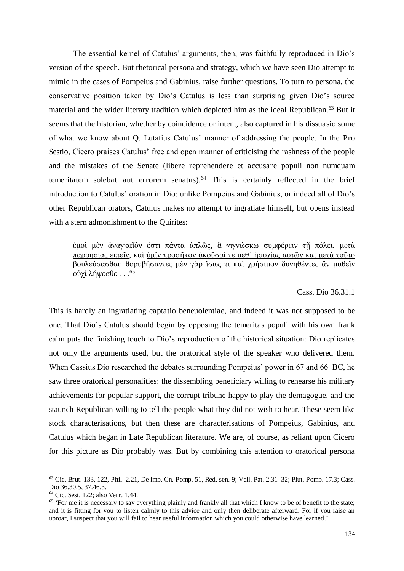The essential kernel of Catulus' arguments, then, was faithfully reproduced in Dio's version of the speech. But rhetorical persona and strategy, which we have seen Dio attempt to mimic in the cases of Pompeius and Gabinius, raise further questions. To turn to persona, the conservative position taken by Dio's Catulus is less than surprising given Dio's source material and the wider literary tradition which depicted him as the ideal Republican.<sup>63</sup> But it seems that the historian, whether by coincidence or intent, also captured in his dissuasio some of what we know about Q. Lutatius Catulus' manner of addressing the people. In the Pro Sestio, Cicero praises Catulus' free and open manner of criticising the rashness of the people and the mistakes of the Senate (libere reprehendere et accusare populi non numquam temeritatem solebat aut errorem senatus).<sup>64</sup> This is certainly reflected in the brief introduction to Catulus' oration in Dio: unlike Pompeius and Gabinius, or indeed all of Dio's other Republican orators, Catulus makes no attempt to ingratiate himself, but opens instead with a stern admonishment to the Quirites:

έμοι μεν αναγκαΐόν έστι πάντα απλώς, α γιγνώσκω συμφέρειν τη πόλει, μετα παρρησίας είπεῖν, καὶ ὑμῖν προσῆκον ἀκοῦσαί τε μεθ' ἡσυγίας αὐτῶν καὶ μετὰ τοῦτο βουλεύσασθαι: θορυβήσαντες μέν γάρ ίσως τι και χρήσιμον δυνηθέντες ἂν μαθεΐν ούχι λήψεσθε...  $65$ 

#### Cass. Dio 36.31.1

This is hardly an ingratiating captatio beneuvlentiae, and indeed it was not supposed to be one. That Dio's Catulus should begin by opposing the temerities populi with his own frank calm puts the finishing touch to Dio's reproduction of the historical situation: Dio replicates not only the arguments used, but the oratorical style of the speaker who delivered them. When Cassius Dio researched the debates surrounding Pompeius' power in 67 and 66 BC, he saw three oratorical personalities: the dissembling beneficiary willing to rehearse his military achievements for popular support, the corrupt tribune happy to play the demagogue, and the staunch Republican willing to tell the people what they did not wish to hear. These seem like stock characterisations, but then these are characterisations of Pompeius, Gabinius, and Catulus which began in Late Republican literature. We are, of course, as reliant upon Cicero for this picture as Dio probably was. But by combining this attention to oratorical persona

<sup>63</sup> Cic. Brut. 133, 122, Phil. 2.21, De imp. Cn. Pomp. 51, Red. sen. 9; Vell. Pat. 2.31–32; Plut. Pomp. 17.3; Cass. Dio 36.30.5, 37.46.3.

<sup>&</sup>lt;sup>64</sup> Cic. Sest. 122: also Verr. 1.44.

 $65$  'For me it is necessary to say everything plainly and frankly all that which I know to be of benefit to the state; and it is fitting for you to listen calmly to this advice and only then deliberate afterward. For if you raise an uproar, I suspect that you will fail to hear useful information which you could otherwise have learned.'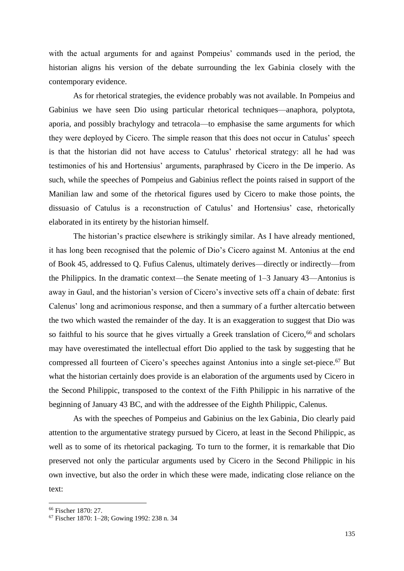with the actual arguments for and against Pompeius' commands used in the period, the historian aligns his version of the debate surrounding the lex Gabinia closely with the contemporary evidence.

As for rhetorical strategies, the evidence probably was not available. In Pompeius and Gabinius we have seen Dio using particular rhetorical techniques—anaphora, polyptota, aporia, and possibly brachylogy and tetracola—to emphasise the same arguments for which they were deployed by Cicero. The simple reason that this does not occur in Catulus' speech is that the historian did not have access to Catulus' rhetorical strategy: all he had was testimonies of his and Hortensius' arguments, paraphrased by Cicero in the De imperio. As such, while the speeches of Pompeius and Gabinius reflect the points raised in support of the Manilian law and some of the rhetorical figures used by Cicero to make those points, the dissuasio of Catulus is a reconstruction of Catulus' and Hortensius' case, rhetorically elaborated in its entirety by the historian himself.

The historian's practice elsewhere is strikingly similar. As I have already mentioned, it has long been recognised that the polemic of Dio's Cicero against M. Antonius at the end of Book 45, addressed to Q. Fufius Calenus, ultimately derives—directly or indirectly—from the Philippics. In the dramatic context—the Senate meeting of  $1-3$  January  $43$ —Antonius is away in Gaul, and the historian's version of Cicero's invective sets off a chain of debate: first Calenus' long and acrimonious response, and then a summary of a further altercatio between the two which wasted the remainder of the day. It is an exaggeration to suggest that Dio was so faithful to his source that he gives virtually a Greek translation of Cicero,<sup>66</sup> and scholars may have overestimated the intellectual effort Dio applied to the task by suggesting that he compressed all fourteen of Cicero's speeches against Antonius into a single set-piece.<sup>67</sup> But what the historian certainly does provide is an elaboration of the arguments used by Cicero in the Second Philippic, transposed to the context of the Fifth Philippic in his narrative of the beginning of January 43 BC, and with the addressee of the Eighth Philippic, Calenus.

As with the speeches of Pompeius and Gabinius on the lex Gabinia, Dio clearly paid attention to the argumentative strategy pursued by Cicero, at least in the Second Philippic, as well as to some of its rhetorical packaging. To turn to the former, it is remarkable that Dio preserved not only the particular arguments used by Cicero in the Second Philippic in his own invective, but also the order in which these were made, indicating close reliance on the text:

<sup>&</sup>lt;sup>66</sup> Fischer 1870: 27.

<sup>&</sup>lt;sup>67</sup> Fischer 1870: 1-28; Gowing 1992: 238 n. 34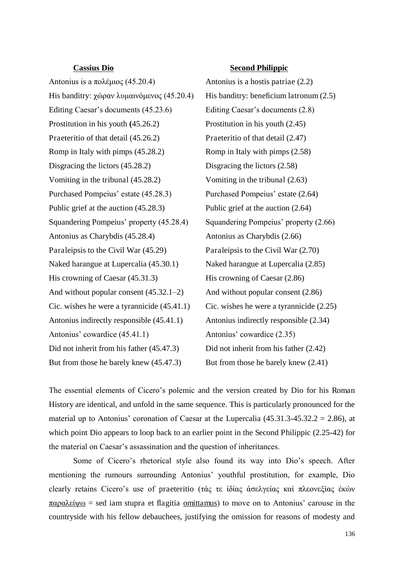#### **Cassius Dio**

Antonius is a πολέμιος (45.20.4) His banditry:  $\gamma\omega\rho\alpha v \lambda\upsilon\mu\alpha\upsilon\omega\rho\mu\upsilon\upsilon\varsigma$  (45.20.4) Editing Caesar's documents (45.23.6) Prostitution in his youth **(**45.26.2) Praeteritio of that detail (45.26.2) Romp in Italy with pimps (45.28.2) Disgracing the lictors (45.28.2) Vomiting in the tribunal (45.28.2) Purchased Pompeius' estate (45.28.3) Public grief at the auction (45.28.3) Squandering Pompeius' property (45.28.4) Antonius as Charybdis (45.28.4) Paraleipsis to the Civil War (45.29) Naked harangue at Lupercalia (45.30.1) His crowning of Caesar (45.31.3) And without popular consent (45.32.1–2) Cic. wishes he were a tyrannicide (45.41.1) Antonius indirectly responsible (45.41.1) Antonius' cowardice  $(45.41.1)$ Did not inherit from his father (45.47.3) But from those he barely knew (45.47.3)

#### **Second Philippic**

Antonius is a hostis patriae (2.2) His banditry: beneficium latronum (2.5) Editing Caesar's documents (2.8) Prostitution in his youth (2.45) Praeteritio of that detail (2.47) Romp in Italy with pimps (2.58) Disgracing the lictors (2.58) Vomiting in the tribunal (2.63) Purchased Pompeius' estate (2.64) Public grief at the auction (2.64) Squandering Pompeius' property (2.66) Antonius as Charybdis (2.66) Paraleipsis to the Civil War (2.70) Naked harangue at Lupercalia (2.85) His crowning of Caesar (2.86) And without popular consent (2.86) Cic. wishes he were a tyrannicide (2.25) Antonius indirectly responsible (2.34) Antonius' cowardice (2.35) Did not inherit from his father (2.42) But from those he barely knew (2.41)

The essential elements of Cicero's polemic and the version created by Dio for his Roman History are identical, and unfold in the same sequence. This is particularly pronounced for the material up to Antonius' coronation of Caesar at the Lupercalia  $(45.31.3-45.32.2 = 2.86)$ , at which point Dio appears to loop back to an earlier point in the Second Philippic (2.25-42) for the material on Caesar's assassination and the question of inheritances.

Some of Cicero's rhetorical style also found its way into Dio's speech. After mentioning the rumours surrounding Antonius' youthful prostitution, for example, Dio clearly retains Cicero's use of praeteritio (τάς τε ιδίας ασελγείας και πλεονεξίας εκών  $\pi \alpha \rho \alpha \lambda \epsilon \psi$  = sed iam stupra et flagitia omittamus) to move on to Antonius' carouse in the countryside with his fellow debauchees, justifying the omission for reasons of modesty and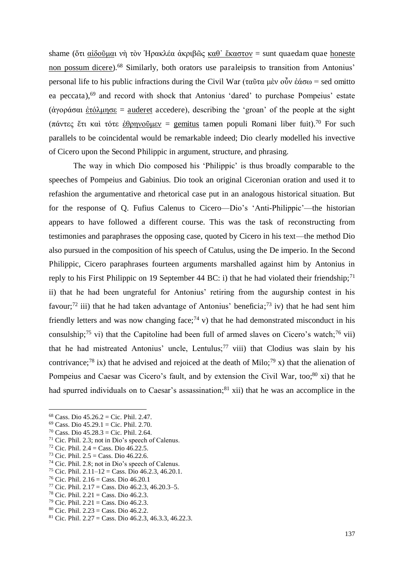shame (ὅτι αἰδοῦμαι νὴ τὸν Ἡρακλέα ἀκριβῶς καθ' ἕκαστον = sunt quaedam quae honeste non possum dicere).<sup>68</sup> Similarly, both orators use paraleipsis to transition from Antonius' personal life to his public infractions during the Civil War ( $\tau \alpha \tilde{\nu} \tau \alpha$  μέν οὖν έάσω = sed omitto ea peccata),<sup>69</sup> and record with shock that Antonius 'dared' to purchase Pompeius' estate  $(αγοράσαι ἐτόλμησε = auderet accedere), describing the 'groan' of the people at the sight$ (πάντες έτι και τότε έθρηνοῦμεν = gemitus tamen populi Romani liber fuit).<sup>70</sup> For such parallels to be coincidental would be remarkable indeed; Dio clearly modelled his invective of Cicero upon the Second Philippic in argument, structure, and phrasing.

The way in which Dio composed his 'Philippic' is thus broadly comparable to the speeches of Pompeius and Gabinius. Dio took an original Ciceronian oration and used it to refashion the argumentative and rhetorical case put in an analogous historical situation. But for the response of Q. Fufius Calenus to Cicero—Dio's 'Anti-Philippic'—the historian appears to have followed a different course. This was the task of reconstructing from testimonies and paraphrases the opposing case, quoted by Cicero in his text—the method Dio also pursued in the composition of his speech of Catulus, using the De imperio. In the Second Philippic, Cicero paraphrases fourteen arguments marshalled against him by Antonius in reply to his First Philippic on 19 September 44 BC: i) that he had violated their friendship;<sup>71</sup> ii) that he had been ungrateful for Antonius' retiring from the augurship contest in his favour;<sup>72</sup> iii) that he had taken advantage of Antonius' beneficia;<sup>73</sup> iv) that he had sent him friendly letters and was now changing face;<sup>74</sup> v) that he had demonstrated misconduct in his consulship;<sup>75</sup> vi) that the Capitoline had been full of armed slaves on Cicero's watch;<sup>76</sup> vii) that he had mistreated Antonius' uncle, Lentulus;<sup>77</sup> viii) that Clodius was slain by his contrivance;<sup>78</sup> ix) that he advised and rejoiced at the death of Milo;<sup>79</sup> x) that the alienation of Pompeius and Caesar was Cicero's fault, and by extension the Civil War, too;<sup>80</sup> xi) that he had spurred individuals on to Caesar's assassination: $81 \times 10$  that he was an accomplice in the

- <sup>73</sup> Cic. Phil.  $2.5 =$  Cass. Dio 46.22.6.
- <sup>74</sup> Cic. Phil. 2.8; not in Dio's speech of Calenus.

<sup>76</sup> Cic. Phil. 2.16 = Cass. Dio 46.20.1

- <sup>78</sup> Cic. Phil. 2.21 = Cass. Dio  $46.2.3$ .
- <sup>79</sup> Cic. Phil. 2.21 = Cass. Dio 46.2.3.
- <sup>80</sup> Cic. Phil. 2.23 = Cass. Dio 46.2.2.

<sup>&</sup>lt;sup>68</sup> Cass. Dio  $45.26.2 =$  Cic. Phil. 2.47.

<sup>&</sup>lt;sup>69</sup> Cass. Dio  $45.29.1 =$  Cic. Phil. 2.70.

<sup>&</sup>lt;sup>70</sup> Cass. Dio  $45.28.3 =$  Cic. Phil. 2.64.

<sup>&</sup>lt;sup>71</sup> Cic. Phil. 2.3; not in Dio's speech of Calenus.

<sup>&</sup>lt;sup>72</sup> Cic. Phil. 2.4 = Cass. Dio 46.22.5.

<sup>&</sup>lt;sup>75</sup> Cic. Phil. 2.11–12 = Cass. Dio 46.2.3, 46.20.1.

<sup>&</sup>lt;sup>77</sup> Cic. Phil. 2.17 = Cass. Dio 46.2.3, 46.20.3–5.

<sup>&</sup>lt;sup>81</sup> Cic. Phil. 2.27 = Cass. Dio 46.2.3, 46.3.3, 46.22.3.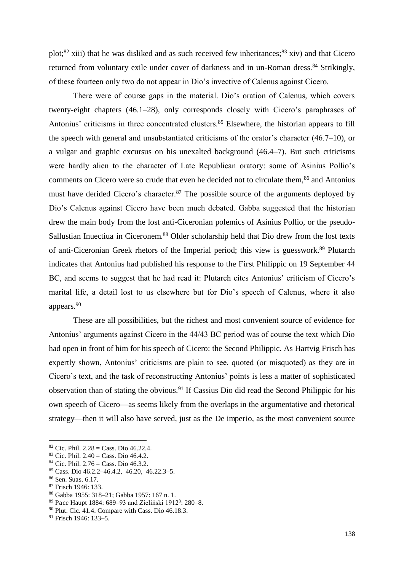plot;<sup>82</sup> xiii) that he was disliked and as such received few inheritances;<sup>83</sup> xiv) and that Cicero returned from voluntary exile under cover of darkness and in un-Roman dress.<sup>84</sup> Strikingly, of these fourteen only two do not appear in Dio's invective of Calenus against Cicero.

There were of course gaps in the material. Dio's oration of Calenus, which covers twenty-eight chapters (46.1–28), only corresponds closely with Cicero's paraphrases of Antonius' criticisms in three concentrated clusters.<sup>85</sup> Elsewhere, the historian appears to fill the speech with general and unsubstantiated criticisms of the orator's character  $(46.7-10)$ , or a vulgar and graphic excursus on his unexalted background (46.4–7). But such criticisms were hardly alien to the character of Late Republican oratory: some of Asinius Pollio's comments on Cicero were so crude that even he decided not to circulate them,<sup>86</sup> and Antonius must have derided Cicero's character.<sup>87</sup> The possible source of the arguments deployed by Dio's Calenus against Cicero have been much debated. Gabba suggested that the historian drew the main body from the lost anti-Ciceronian polemics of Asinius Pollio, or the pseudo-Sallustian Inuectiua in Ciceronem.<sup>88</sup> Older scholarship held that Dio drew from the lost texts of anti-Ciceronian Greek rhetors of the Imperial period; this view is guesswork.<sup>89</sup> Plutarch indicates that Antonius had published his response to the First Philippic on 19 September 44 BC, and seems to suggest that he had read it: Plutarch cites Antonius' criticism of Cicero's marital life, a detail lost to us elsewhere but for Dio's speech of Calenus, where it also appears. $90$ 

These are all possibilities, but the richest and most convenient source of evidence for Antonius' arguments against Cicero in the 44/43 BC period was of course the text which Dio had open in front of him for his speech of Cicero: the Second Philippic. As Hartvig Frisch has expertly shown, Antonius' criticisms are plain to see, quoted (or misquoted) as they are in Cicero's text, and the task of reconstructing Antonius' points is less a matter of sophisticated observation than of stating the obvious.<sup>91</sup> If Cassius Dio did read the Second Philippic for his own speech of Cicero—as seems likely from the overlaps in the argumentative and rhetorical strategy—then it will also have served, just as the De imperio, as the most convenient source

88 Gabba 1955: 318-21; Gabba 1957: 167 n. 1.

 $82$  Cic. Phil. 2.28 = Cass. Dio 46.22.4.

 $83$  Cic. Phil. 2.40 = Cass. Dio 46.4.2.

 $84$  Cic. Phil. 2.76 = Cass. Dio 46.3.2.

 $85$  Cass. Dio 46.2.2–46.4.2, 46.20, 46.22.3–5.

<sup>&</sup>lt;sup>86</sup> Sen. Suas. 6.17.

<sup>&</sup>lt;sup>87</sup> Frisch 1946: 133.

<sup>&</sup>lt;sup>89</sup> Pace Haupt 1884: 689–93 and Zieliński 1912<sup>3</sup>: 280–8.

<sup>&</sup>lt;sup>90</sup> Plut. Cic. 41.4. Compare with Cass. Dio 46.18.3.

 $91$  Frisch 1946: 133–5.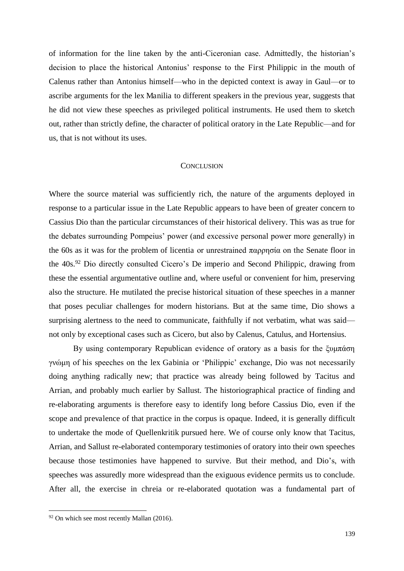of information for the line taken by the anti-Ciceronian case. Admittedly, the historian's decision to place the historical Antonius' response to the First Philippic in the mouth of Calenus rather than Antonius himself—who in the depicted context is away in Gaul—or to ascribe arguments for the lex Manilia to different speakers in the previous year, suggests that he did not view these speeches as privileged political instruments. He used them to sketch out, rather than strictly define, the character of political oratory in the Late Republic—and for us, that is not without its uses.

#### **CONCLUSION**

Where the source material was sufficiently rich, the nature of the arguments deployed in response to a particular issue in the Late Republic appears to have been of greater concern to Cassius Dio than the particular circumstances of their historical delivery. This was as true for the debates surrounding Pompeius' power (and excessive personal power more generally) in the 60s as it was for the problem of licentia or unrestrained  $\pi \alpha \rho \rho \eta \sigma \alpha$  on the Senate floor in the 40s.<sup>92</sup> Dio directly consulted Cicero's De imperio and Second Philippic, drawing from these the essential argumentative outline and, where useful or convenient for him, preserving also the structure. He mutilated the precise historical situation of these speeches in a manner that poses peculiar challenges for modern historians. But at the same time, Dio shows a surprising alertness to the need to communicate, faithfully if not verbatim, what was said not only by exceptional cases such as Cicero, but also by Calenus, Catulus, and Hortensius.

By using contemporary Republican evidence of oratory as a basis for the ξυμπάση γνώμη of his speeches on the lex Gabinia or 'Philippic' exchange, Dio was not necessarily doing anything radically new; that practice was already being followed by Tacitus and Arrian, and probably much earlier by Sallust. The historiographical practice of finding and re-elaborating arguments is therefore easy to identify long before Cassius Dio, even if the scope and prevalence of that practice in the corpus is opaque. Indeed, it is generally difficult to undertake the mode of Quellenkritik pursued here. We of course only know that Tacitus, Arrian, and Sallust re-elaborated contemporary testimonies of oratory into their own speeches because those testimonies have happened to survive. But their method, and Dio's, with speeches was assuredly more widespread than the exiguous evidence permits us to conclude. After all, the exercise in chreia or re-elaborated quotation was a fundamental part of

 $92$  On which see most recently Mallan (2016).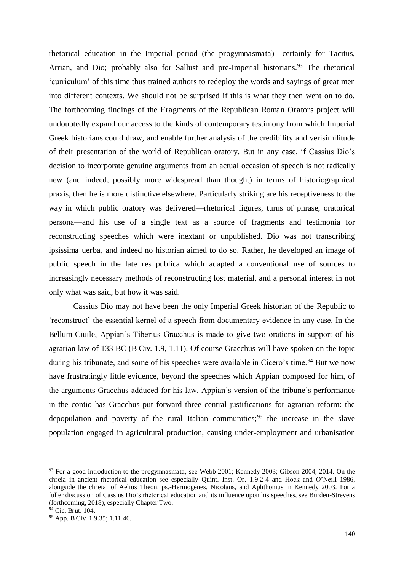rhetorical education in the Imperial period (the progymnasmata)—certainly for Tacitus, Arrian, and Dio; probably also for Sallust and pre-Imperial historians.<sup>93</sup> The rhetorical 'curriculum' of this time thus trained authors to redeploy the words and sayings of great men into different contexts. We should not be surprised if this is what they then went on to do. The forthcoming findings of the Fragments of the Republican Roman Orators project will undoubtedly expand our access to the kinds of contemporary testimony from which Imperial Greek historians could draw, and enable further analysis of the credibility and verisimilitude of their presentation of the world of Republican oratory. But in any case, if Cassius Dio's decision to incorporate genuine arguments from an actual occasion of speech is not radically new (and indeed, possibly more widespread than thought) in terms of historiographical praxis, then he is more distinctive elsewhere. Particularly striking are his receptiveness to the way in which public oratory was delivered—rhetorical figures, turns of phrase, oratorical persona—and his use of a single text as a source of fragments and testimonia for reconstructing speeches which were inextant or unpublished. Dio was not transcribing ipsissima uerba, and indeed no historian aimed to do so. Rather, he developed an image of public speech in the late res publica which adapted a conventional use of sources to increasingly necessary methods of reconstructing lost material, and a personal interest in not only what was said, but how it was said.

Cassius Dio may not have been the only Imperial Greek historian of the Republic to 'reconstruct' the essential kernel of a speech from documentary evidence in any case. In the Bellum Ciuile, Appian's Tiberius Gracchus is made to give two orations in support of his agrarian law of 133 BC (B Civ. 1.9, 1.11). Of course Gracchus will have spoken on the topic during his tribunate, and some of his speeches were available in Cicero's time.<sup>94</sup> But we now have frustratingly little evidence, beyond the speeches which Appian composed for him, of the arguments Gracchus adduced for his law. Appian's version of the tribune's performance in the contio has Gracchus put forward three central justifications for agrarian reform: the depopulation and poverty of the rural Italian communities;<sup>95</sup> the increase in the slave population engaged in agricultural production, causing under-employment and urbanisation

<sup>&</sup>lt;sup>93</sup> For a good introduction to the progymnasmata, see Webb 2001; Kennedy 2003; Gibson 2004, 2014. On the chreia in ancient rhetorical education see especially Quint. Inst. Or. 1.9.2-4 and Hock and O'Neill 1986, alongside the chreiai of Aelius Theon, ps.-Hermogenes, Nicolaus, and Aphthonius in Kennedy 2003. For a fuller discussion of Cassius Dio's rhetorical education and its influence upon his speeches, see Burden-Strevens (forthcoming, 2018), especially Chapter Two.

<sup>&</sup>lt;sup>94</sup> Cic. Brut. 104.

<sup>&</sup>lt;sup>95</sup> App. B Civ. 1.9.35; 1.11.46.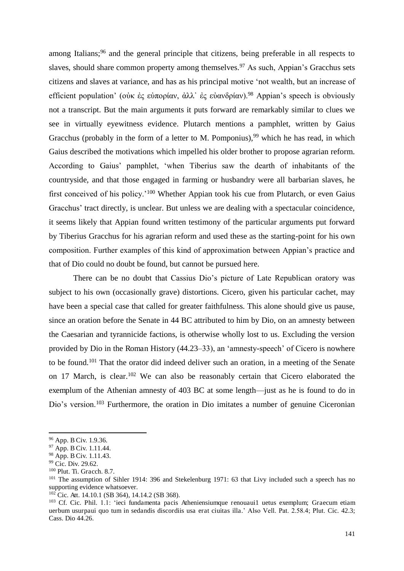among Italians;<sup>96</sup> and the general principle that citizens, being preferable in all respects to slaves, should share common property among themselves.<sup>97</sup> As such, Appian's Gracchus sets citizens and slaves at variance, and has as his principal motive 'not wealth, but an increase of efficient population' (ούκ ές εύπορίαν, άλλ' ές εύανδρίαν).<sup>98</sup> Appian's speech is obviously not a transcript. But the main arguments it puts forward are remarkably similar to clues we see in virtually eyewitness evidence. Plutarch mentions a pamphlet, written by Gaius Gracchus (probably in the form of a letter to M. Pomponius),  $99$  which he has read, in which Gaius described the motivations which impelled his older brother to propose agrarian reform. According to Gaius' pamphlet, 'when Tiberius saw the dearth of inhabitants of the countryside, and that those engaged in farming or husbandry were all barbarian slaves, he first conceived of his policy.'<sup>100</sup> Whether Appian took his cue from Plutarch, or even Gaius Gracchus' tract directly, is unclear. But unless we are dealing with a spectacular coincidence, it seems likely that Appian found written testimony of the particular arguments put forward by Tiberius Gracchus for his agrarian reform and used these as the starting-point for his own composition. Further examples of this kind of approximation between Appian's practice and that of Dio could no doubt be found, but cannot be pursued here.

There can be no doubt that Cassius Dio's picture of Late Republican oratory was subject to his own (occasionally grave) distortions. Cicero, given his particular cachet, may have been a special case that called for greater faithfulness. This alone should give us pause, since an oration before the Senate in 44 BC attributed to him by Dio, on an amnesty between the Caesarian and tyrannicide factions, is otherwise wholly lost to us. Excluding the version provided by Dio in the Roman History (44.23–33), an 'amnesty-speech' of Cicero is nowhere to be found.<sup>101</sup> That the orator did indeed deliver such an oration, in a meeting of the Senate on 17 March, is clear.<sup>102</sup> We can also be reasonably certain that Cicero elaborated the exemplum of the Athenian amnesty of 403 BC at some length—just as he is found to do in Dio's version.<sup>103</sup> Furthermore, the oration in Dio imitates a number of genuine Ciceronian

<sup>&</sup>lt;sup>96</sup> App. B Civ. 1.9.36.

<sup>&</sup>lt;sup>97</sup> App. B Civ. 1.11.44.

<sup>98</sup> App. B Civ. 1.11.43.

<sup>&</sup>lt;sup>99</sup> Cic. Div. 29.62.

<sup>&</sup>lt;sup>100</sup> Plut. Ti. Gracch. 8.7.

<sup>&</sup>lt;sup>101</sup> The assumption of Sihler 1914: 396 and Stekelenburg 1971: 63 that Livy included such a speech has no supporting evidence whatsoever.

 $102$  Cic. Att. 14.10.1 (SB 364), 14.14.2 (SB 368).

<sup>&</sup>lt;sup>103</sup> Cf. Cic. Phil. 1.1: 'ieci fundamenta pacis Atheniensiumque renouaui1 uetus exemplum; Graecum etiam uerbum usurpaui quo tum in sedandis discordiis usa erat ciuitas illa.' Also Vell. Pat. 2.58.4; Plut. Cic. 42.3; Cass. Dio 44.26.